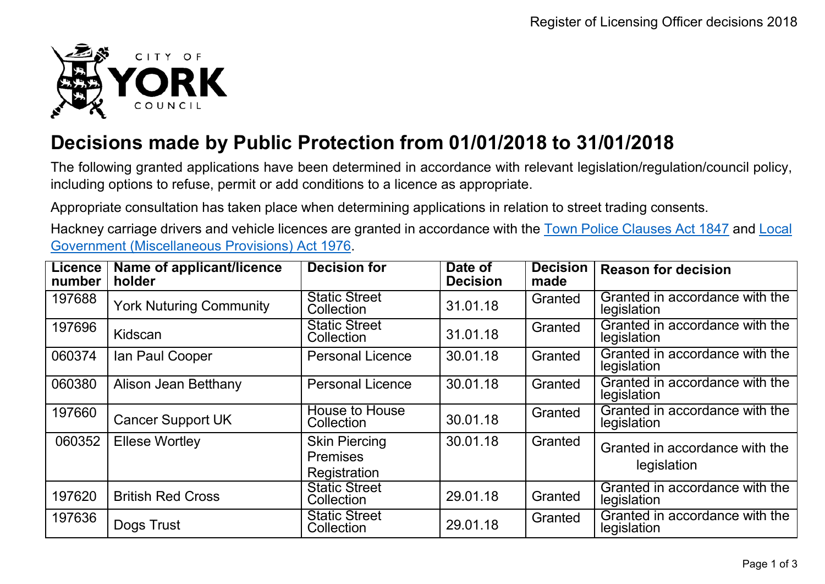

## **Decisions made by Public Protection from 01/01/2018 to 31/01/2018**

The following granted applications have been determined in accordance with relevant legislation/regulation/council policy, including options to refuse, permit or add conditions to a licence as appropriate.

Appropriate consultation has taken place when determining applications in relation to street trading consents.

Hackney carriage drivers and vehicle licences are granted in accordance with the Town Police [Clauses](http://www.legislation.gov.uk/ukpga/Vict/10-11/89) Act 1847 and [Local](http://www.legislation.gov.uk/ukpga/1976/57) [Government \(Miscellaneous Provisions\) Act 1976.](http://www.legislation.gov.uk/ukpga/1976/57)

| <b>Licence</b><br>number | Name of applicant/licence<br>holder | <b>Decision for</b>                                     | Date of<br><b>Decision</b> | <b>Decision</b><br>made | <b>Reason for decision</b>                    |
|--------------------------|-------------------------------------|---------------------------------------------------------|----------------------------|-------------------------|-----------------------------------------------|
| 197688                   | <b>York Nuturing Community</b>      | <b>Static Street</b><br>Collection                      | 31.01.18                   | Granted                 | Granted in accordance with the<br>legislation |
| 197696                   | Kidscan                             | <b>Static Street</b><br>Collection                      | 31.01.18                   | Granted                 | Granted in accordance with the<br>legislation |
| 060374                   | Ian Paul Cooper                     | <b>Personal Licence</b>                                 | 30.01.18                   | Granted                 | Granted in accordance with the<br>legislation |
| 060380                   | Alison Jean Betthany                | <b>Personal Licence</b>                                 | 30.01.18                   | Granted                 | Granted in accordance with the<br>legislation |
| 197660                   | <b>Cancer Support UK</b>            | <b>House to House</b><br>Collection                     | 30.01.18                   | Granted                 | Granted in accordance with the<br>legislation |
| 060352                   | <b>Ellese Wortley</b>               | <b>Skin Piercing</b><br><b>Premises</b><br>Registration | 30.01.18                   | Granted                 | Granted in accordance with the<br>legislation |
| 197620                   | <b>British Red Cross</b>            | <b>Static Street</b><br>Collection                      | 29.01.18                   | Granted                 | Granted in accordance with the<br>legislation |
| 197636                   | Dogs Trust                          | <b>Static Street</b><br>Collection                      | 29.01.18                   | Granted                 | Granted in accordance with the<br>legislation |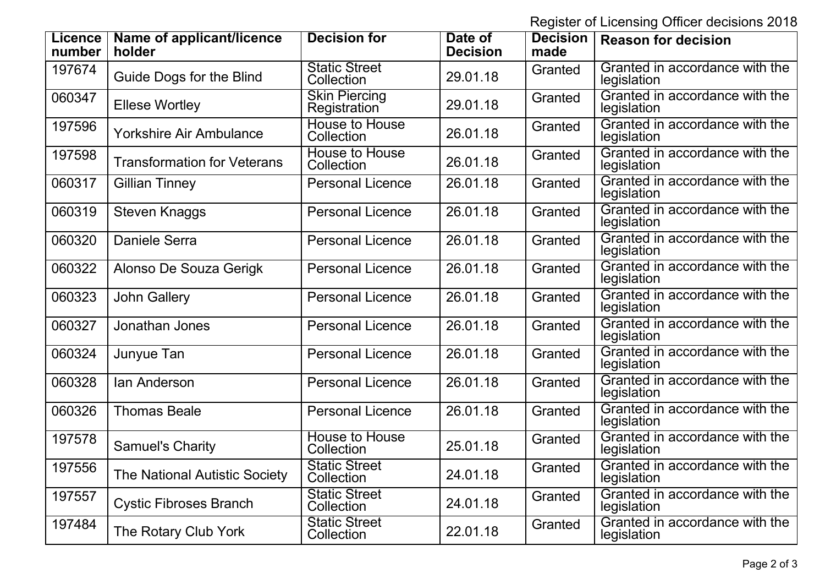Register of Licensing Officer decisions 2018

| <b>Licence</b><br>number | Name of applicant/licence<br>holder  | <b>Decision for</b>                  | Date of<br><b>Decision</b> | <b>Decision</b><br>made | <b>Reason for decision</b>                    |
|--------------------------|--------------------------------------|--------------------------------------|----------------------------|-------------------------|-----------------------------------------------|
| 197674                   | Guide Dogs for the Blind             | <b>Static Street</b><br>Collection   | 29.01.18                   | Granted                 | Granted in accordance with the<br>legislation |
| 060347                   | <b>Ellese Wortley</b>                | <b>Skin Piercing</b><br>Registration | 29.01.18                   | Granted                 | Granted in accordance with the<br>legislation |
| 197596                   | <b>Yorkshire Air Ambulance</b>       | <b>House to House</b><br>Collection  | 26.01.18                   | Granted                 | Granted in accordance with the<br>legislation |
| 197598                   | <b>Transformation for Veterans</b>   | <b>House to House</b><br>Collection  | 26.01.18                   | Granted                 | Granted in accordance with the<br>legislation |
| 060317                   | <b>Gillian Tinney</b>                | <b>Personal Licence</b>              | 26.01.18                   | Granted                 | Granted in accordance with the<br>legislation |
| 060319                   | Steven Knaggs                        | <b>Personal Licence</b>              | 26.01.18                   | Granted                 | Granted in accordance with the<br>legislation |
| 060320                   | <b>Daniele Serra</b>                 | <b>Personal Licence</b>              | 26.01.18                   | Granted                 | Granted in accordance with the<br>legislation |
| 060322                   | Alonso De Souza Gerigk               | <b>Personal Licence</b>              | 26.01.18                   | Granted                 | Granted in accordance with the<br>legislation |
| 060323                   | <b>John Gallery</b>                  | <b>Personal Licence</b>              | 26.01.18                   | Granted                 | Granted in accordance with the<br>legislation |
| 060327                   | Jonathan Jones                       | <b>Personal Licence</b>              | 26.01.18                   | Granted                 | Granted in accordance with the<br>legislation |
| 060324                   | Junyue Tan                           | <b>Personal Licence</b>              | 26.01.18                   | Granted                 | Granted in accordance with the<br>legislation |
| 060328                   | lan Anderson                         | <b>Personal Licence</b>              | 26.01.18                   | Granted                 | Granted in accordance with the<br>legislation |
| 060326                   | <b>Thomas Beale</b>                  | <b>Personal Licence</b>              | 26.01.18                   | Granted                 | Granted in accordance with the<br>legislation |
| 197578                   | <b>Samuel's Charity</b>              | <b>House to House</b><br>Collection  | 25.01.18                   | Granted                 | Granted in accordance with the<br>legislation |
| 197556                   | <b>The National Autistic Society</b> | <b>Static Street</b><br>Collection   | 24.01.18                   | Granted                 | Granted in accordance with the<br>legislation |
| 197557                   | <b>Cystic Fibroses Branch</b>        | <b>Static Street</b><br>Collection   | 24.01.18                   | Granted                 | Granted in accordance with the<br>legislation |
| 197484                   | The Rotary Club York                 | <b>Static Street</b><br>Collection   | 22.01.18                   | Granted                 | Granted in accordance with the<br>legislation |